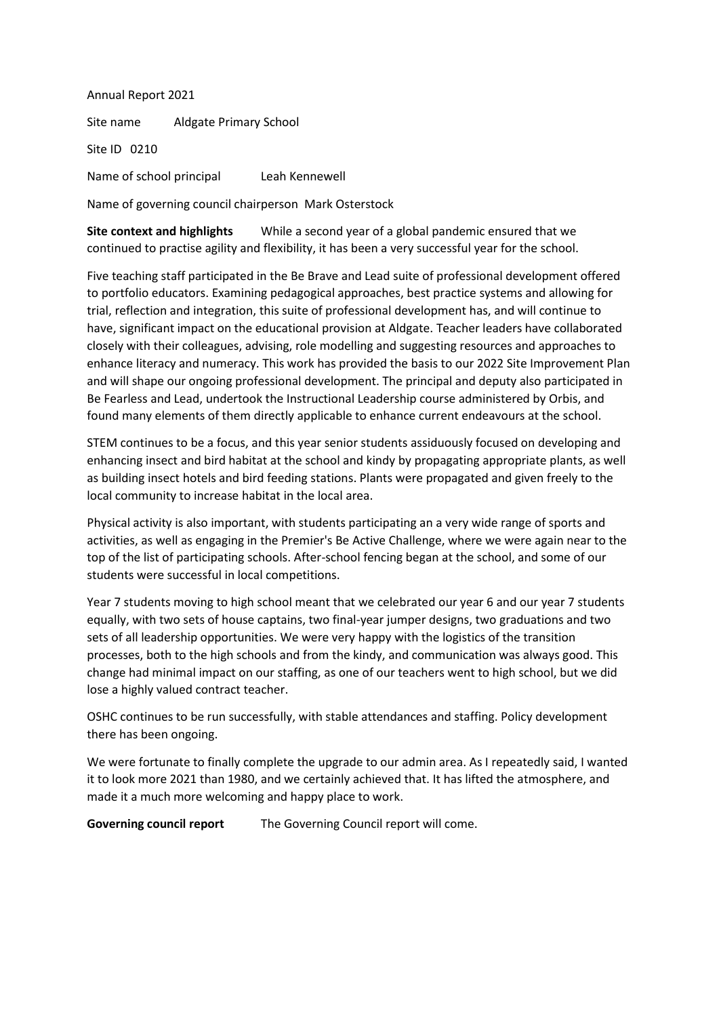Annual Report 2021 Site name Aldgate Primary School Site ID 0210 Name of school principal Leah Kennewell

Name of governing council chairperson Mark Osterstock

**Site context and highlights** While a second year of a global pandemic ensured that we continued to practise agility and flexibility, it has been a very successful year for the school.

Five teaching staff participated in the Be Brave and Lead suite of professional development offered to portfolio educators. Examining pedagogical approaches, best practice systems and allowing for trial, reflection and integration, this suite of professional development has, and will continue to have, significant impact on the educational provision at Aldgate. Teacher leaders have collaborated closely with their colleagues, advising, role modelling and suggesting resources and approaches to enhance literacy and numeracy. This work has provided the basis to our 2022 Site Improvement Plan and will shape our ongoing professional development. The principal and deputy also participated in Be Fearless and Lead, undertook the Instructional Leadership course administered by Orbis, and found many elements of them directly applicable to enhance current endeavours at the school.

STEM continues to be a focus, and this year senior students assiduously focused on developing and enhancing insect and bird habitat at the school and kindy by propagating appropriate plants, as well as building insect hotels and bird feeding stations. Plants were propagated and given freely to the local community to increase habitat in the local area.

Physical activity is also important, with students participating an a very wide range of sports and activities, as well as engaging in the Premier's Be Active Challenge, where we were again near to the top of the list of participating schools. After-school fencing began at the school, and some of our students were successful in local competitions.

Year 7 students moving to high school meant that we celebrated our year 6 and our year 7 students equally, with two sets of house captains, two final-year jumper designs, two graduations and two sets of all leadership opportunities. We were very happy with the logistics of the transition processes, both to the high schools and from the kindy, and communication was always good. This change had minimal impact on our staffing, as one of our teachers went to high school, but we did lose a highly valued contract teacher.

OSHC continues to be run successfully, with stable attendances and staffing. Policy development there has been ongoing.

We were fortunate to finally complete the upgrade to our admin area. As I repeatedly said, I wanted it to look more 2021 than 1980, and we certainly achieved that. It has lifted the atmosphere, and made it a much more welcoming and happy place to work.

**Governing council report** The Governing Council report will come.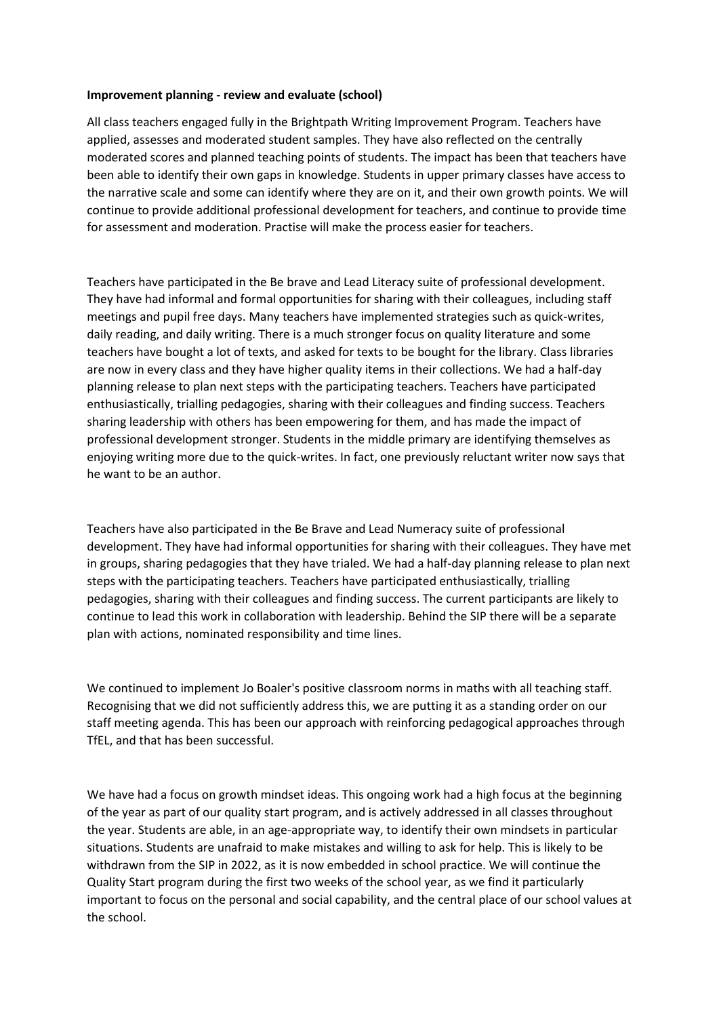#### **Improvement planning - review and evaluate (school)**

All class teachers engaged fully in the Brightpath Writing Improvement Program. Teachers have applied, assesses and moderated student samples. They have also reflected on the centrally moderated scores and planned teaching points of students. The impact has been that teachers have been able to identify their own gaps in knowledge. Students in upper primary classes have access to the narrative scale and some can identify where they are on it, and their own growth points. We will continue to provide additional professional development for teachers, and continue to provide time for assessment and moderation. Practise will make the process easier for teachers.

Teachers have participated in the Be brave and Lead Literacy suite of professional development. They have had informal and formal opportunities for sharing with their colleagues, including staff meetings and pupil free days. Many teachers have implemented strategies such as quick-writes, daily reading, and daily writing. There is a much stronger focus on quality literature and some teachers have bought a lot of texts, and asked for texts to be bought for the library. Class libraries are now in every class and they have higher quality items in their collections. We had a half-day planning release to plan next steps with the participating teachers. Teachers have participated enthusiastically, trialling pedagogies, sharing with their colleagues and finding success. Teachers sharing leadership with others has been empowering for them, and has made the impact of professional development stronger. Students in the middle primary are identifying themselves as enjoying writing more due to the quick-writes. In fact, one previously reluctant writer now says that he want to be an author.

Teachers have also participated in the Be Brave and Lead Numeracy suite of professional development. They have had informal opportunities for sharing with their colleagues. They have met in groups, sharing pedagogies that they have trialed. We had a half-day planning release to plan next steps with the participating teachers. Teachers have participated enthusiastically, trialling pedagogies, sharing with their colleagues and finding success. The current participants are likely to continue to lead this work in collaboration with leadership. Behind the SIP there will be a separate plan with actions, nominated responsibility and time lines.

We continued to implement Jo Boaler's positive classroom norms in maths with all teaching staff. Recognising that we did not sufficiently address this, we are putting it as a standing order on our staff meeting agenda. This has been our approach with reinforcing pedagogical approaches through TfEL, and that has been successful.

We have had a focus on growth mindset ideas. This ongoing work had a high focus at the beginning of the year as part of our quality start program, and is actively addressed in all classes throughout the year. Students are able, in an age-appropriate way, to identify their own mindsets in particular situations. Students are unafraid to make mistakes and willing to ask for help. This is likely to be withdrawn from the SIP in 2022, as it is now embedded in school practice. We will continue the Quality Start program during the first two weeks of the school year, as we find it particularly important to focus on the personal and social capability, and the central place of our school values at the school.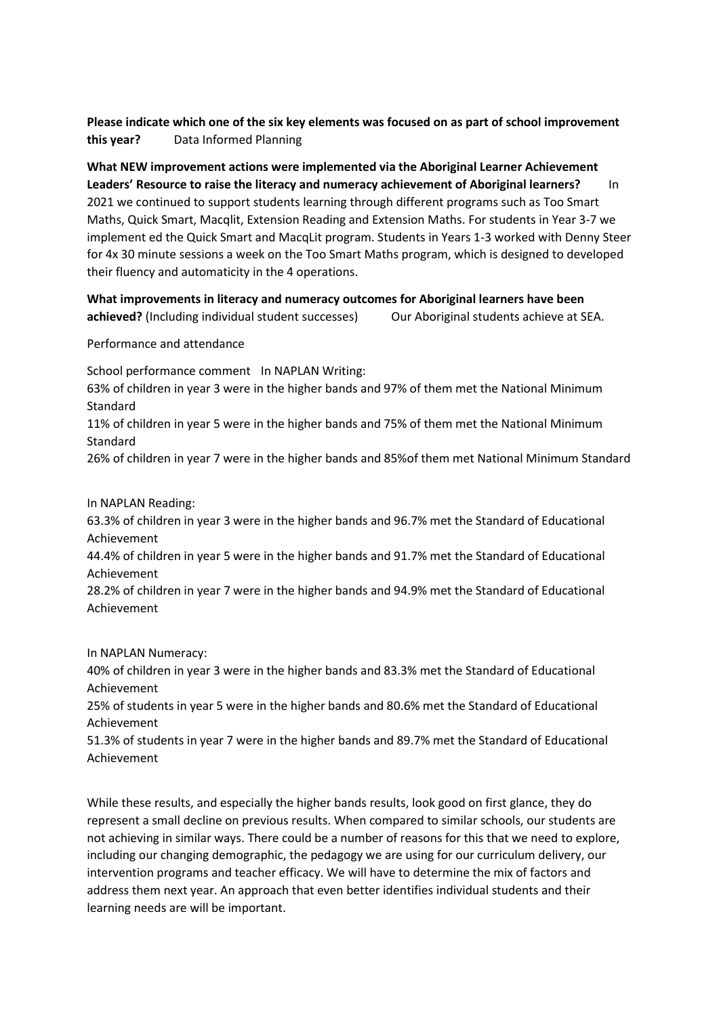# **Please indicate which one of the six key elements was focused on as part of school improvement this year?** Data Informed Planning

**What NEW improvement actions were implemented via the Aboriginal Learner Achievement Leaders' Resource to raise the literacy and numeracy achievement of Aboriginal learners?** In 2021 we continued to support students learning through different programs such as Too Smart Maths, Quick Smart, Macqlit, Extension Reading and Extension Maths. For students in Year 3-7 we implement ed the Quick Smart and MacqLit program. Students in Years 1-3 worked with Denny Steer for 4x 30 minute sessions a week on the Too Smart Maths program, which is designed to developed their fluency and automaticity in the 4 operations.

**What improvements in literacy and numeracy outcomes for Aboriginal learners have been achieved?** (Including individual student successes) Our Aboriginal students achieve at SEA.

Performance and attendance

School performance comment In NAPLAN Writing:

63% of children in year 3 were in the higher bands and 97% of them met the National Minimum Standard

11% of children in year 5 were in the higher bands and 75% of them met the National Minimum Standard

26% of children in year 7 were in the higher bands and 85%of them met National Minimum Standard

In NAPLAN Reading:

63.3% of children in year 3 were in the higher bands and 96.7% met the Standard of Educational Achievement

44.4% of children in year 5 were in the higher bands and 91.7% met the Standard of Educational Achievement

28.2% of children in year 7 were in the higher bands and 94.9% met the Standard of Educational Achievement

In NAPLAN Numeracy:

40% of children in year 3 were in the higher bands and 83.3% met the Standard of Educational Achievement

25% of students in year 5 were in the higher bands and 80.6% met the Standard of Educational Achievement

51.3% of students in year 7 were in the higher bands and 89.7% met the Standard of Educational Achievement

While these results, and especially the higher bands results, look good on first glance, they do represent a small decline on previous results. When compared to similar schools, our students are not achieving in similar ways. There could be a number of reasons for this that we need to explore, including our changing demographic, the pedagogy we are using for our curriculum delivery, our intervention programs and teacher efficacy. We will have to determine the mix of factors and address them next year. An approach that even better identifies individual students and their learning needs are will be important.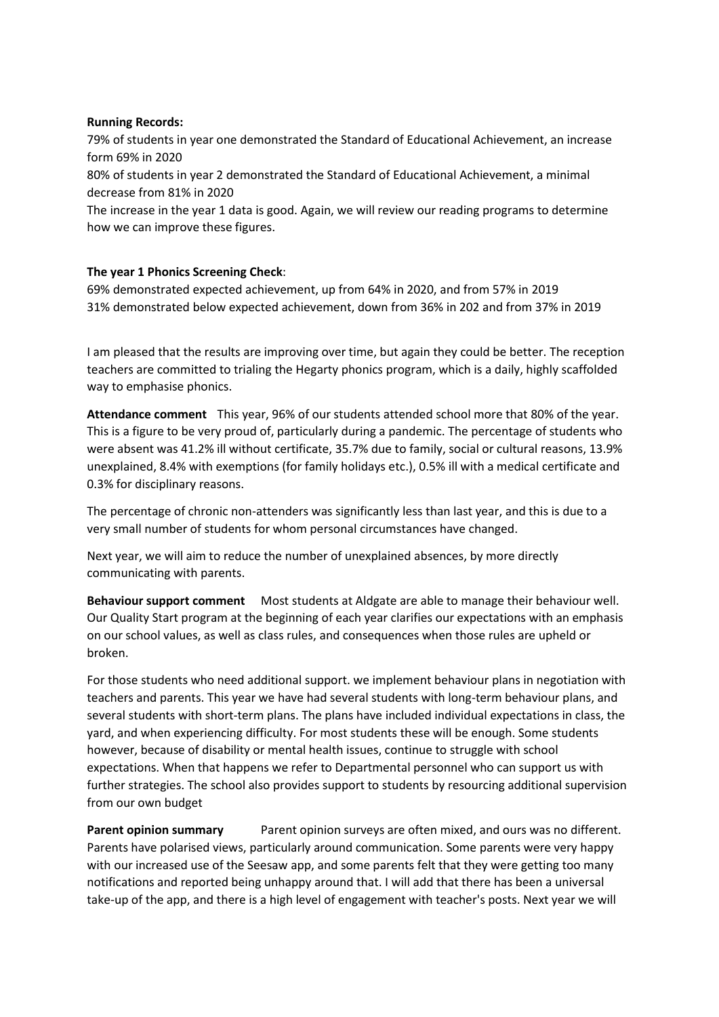### **Running Records:**

79% of students in year one demonstrated the Standard of Educational Achievement, an increase form 69% in 2020

80% of students in year 2 demonstrated the Standard of Educational Achievement, a minimal decrease from 81% in 2020

The increase in the year 1 data is good. Again, we will review our reading programs to determine how we can improve these figures.

## **The year 1 Phonics Screening Check**:

69% demonstrated expected achievement, up from 64% in 2020, and from 57% in 2019 31% demonstrated below expected achievement, down from 36% in 202 and from 37% in 2019

I am pleased that the results are improving over time, but again they could be better. The reception teachers are committed to trialing the Hegarty phonics program, which is a daily, highly scaffolded way to emphasise phonics.

**Attendance comment** This year, 96% of our students attended school more that 80% of the year. This is a figure to be very proud of, particularly during a pandemic. The percentage of students who were absent was 41.2% ill without certificate, 35.7% due to family, social or cultural reasons, 13.9% unexplained, 8.4% with exemptions (for family holidays etc.), 0.5% ill with a medical certificate and 0.3% for disciplinary reasons.

The percentage of chronic non-attenders was significantly less than last year, and this is due to a very small number of students for whom personal circumstances have changed.

Next year, we will aim to reduce the number of unexplained absences, by more directly communicating with parents.

**Behaviour support comment** Most students at Aldgate are able to manage their behaviour well. Our Quality Start program at the beginning of each year clarifies our expectations with an emphasis on our school values, as well as class rules, and consequences when those rules are upheld or broken.

For those students who need additional support. we implement behaviour plans in negotiation with teachers and parents. This year we have had several students with long-term behaviour plans, and several students with short-term plans. The plans have included individual expectations in class, the yard, and when experiencing difficulty. For most students these will be enough. Some students however, because of disability or mental health issues, continue to struggle with school expectations. When that happens we refer to Departmental personnel who can support us with further strategies. The school also provides support to students by resourcing additional supervision from our own budget

**Parent opinion summary** Parent opinion surveys are often mixed, and ours was no different. Parents have polarised views, particularly around communication. Some parents were very happy with our increased use of the Seesaw app, and some parents felt that they were getting too many notifications and reported being unhappy around that. I will add that there has been a universal take-up of the app, and there is a high level of engagement with teacher's posts. Next year we will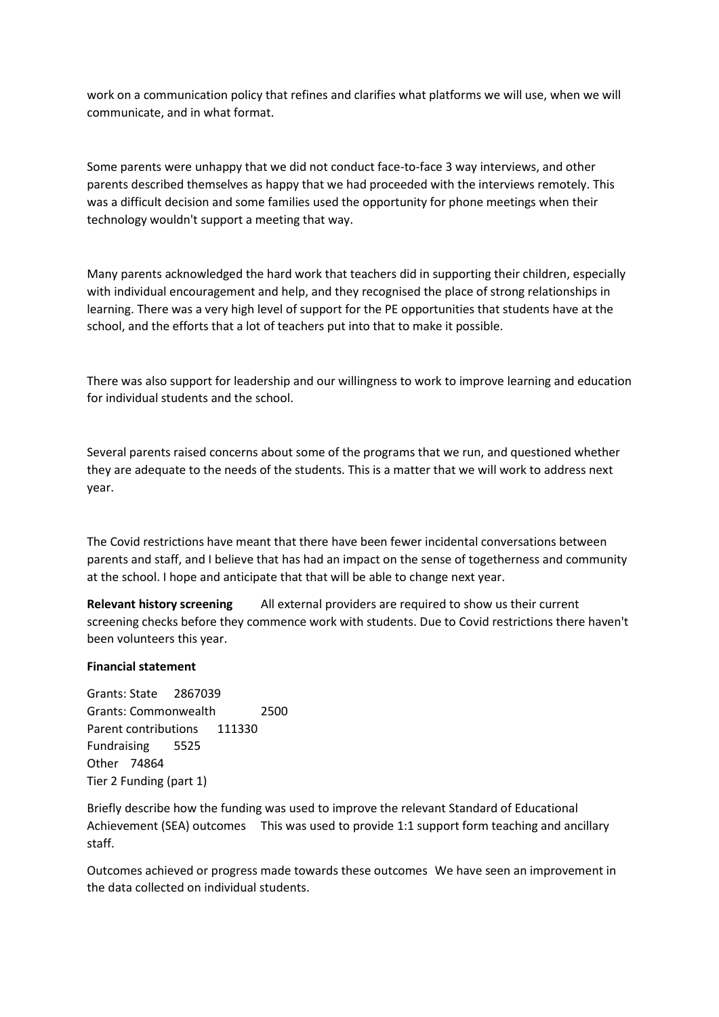work on a communication policy that refines and clarifies what platforms we will use, when we will communicate, and in what format.

Some parents were unhappy that we did not conduct face-to-face 3 way interviews, and other parents described themselves as happy that we had proceeded with the interviews remotely. This was a difficult decision and some families used the opportunity for phone meetings when their technology wouldn't support a meeting that way.

Many parents acknowledged the hard work that teachers did in supporting their children, especially with individual encouragement and help, and they recognised the place of strong relationships in learning. There was a very high level of support for the PE opportunities that students have at the school, and the efforts that a lot of teachers put into that to make it possible.

There was also support for leadership and our willingness to work to improve learning and education for individual students and the school.

Several parents raised concerns about some of the programs that we run, and questioned whether they are adequate to the needs of the students. This is a matter that we will work to address next year.

The Covid restrictions have meant that there have been fewer incidental conversations between parents and staff, and I believe that has had an impact on the sense of togetherness and community at the school. I hope and anticipate that that will be able to change next year.

**Relevant history screening** All external providers are required to show us their current screening checks before they commence work with students. Due to Covid restrictions there haven't been volunteers this year.

#### **Financial statement**

Grants: State 2867039 Grants: Commonwealth 2500 Parent contributions 111330 Fundraising 5525 Other 74864 Tier 2 Funding (part 1)

Briefly describe how the funding was used to improve the relevant Standard of Educational Achievement (SEA) outcomes This was used to provide 1:1 support form teaching and ancillary staff.

Outcomes achieved or progress made towards these outcomes We have seen an improvement in the data collected on individual students.